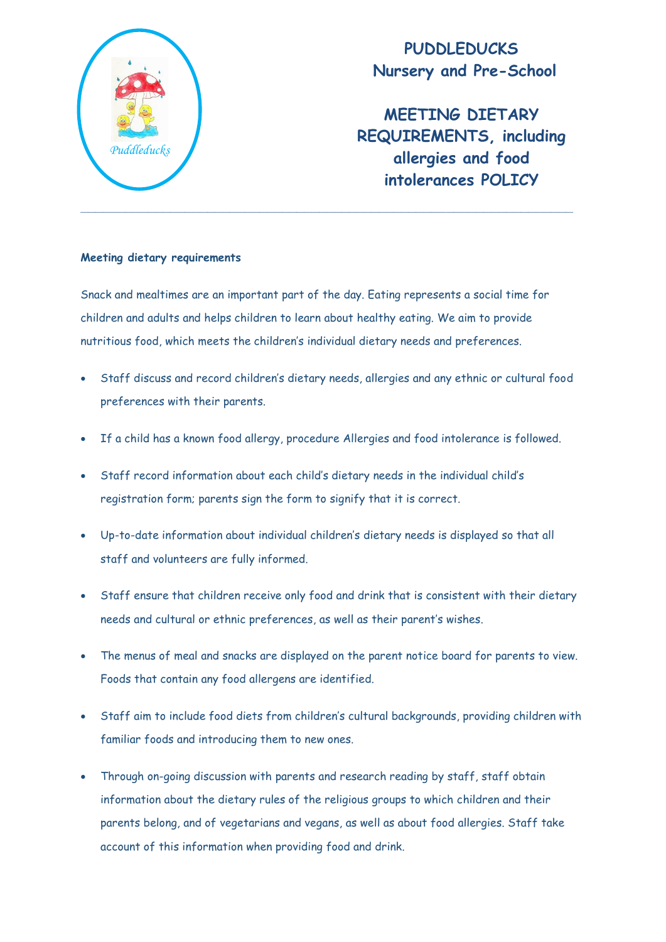

**PUDDLEDUCKS Nursery and Pre-School**

**MEETING DIETARY REQUIREMENTS, including allergies and food intolerances POLICY**

## **Meeting dietary requirements**

Snack and mealtimes are an important part of the day. Eating represents a social time for children and adults and helps children to learn about healthy eating. We aim to provide nutritious food, which meets the children's individual dietary needs and preferences.

- Staff discuss and record children's dietary needs, allergies and any ethnic or cultural food preferences with their parents.
- If a child has a known food allergy, procedure Allergies and food intolerance is followed.
- Staff record information about each child's dietary needs in the individual child's registration form; parents sign the form to signify that it is correct.
- Up-to-date information about individual children's dietary needs is displayed so that all staff and volunteers are fully informed.
- Staff ensure that children receive only food and drink that is consistent with their dietary needs and cultural or ethnic preferences, as well as their parent's wishes.
- The menus of meal and snacks are displayed on the parent notice board for parents to view. Foods that contain any food allergens are identified.
- Staff aim to include food diets from children's cultural backgrounds, providing children with familiar foods and introducing them to new ones.
- Through on-going discussion with parents and research reading by staff, staff obtain information about the dietary rules of the religious groups to which children and their parents belong, and of vegetarians and vegans, as well as about food allergies. Staff take account of this information when providing food and drink.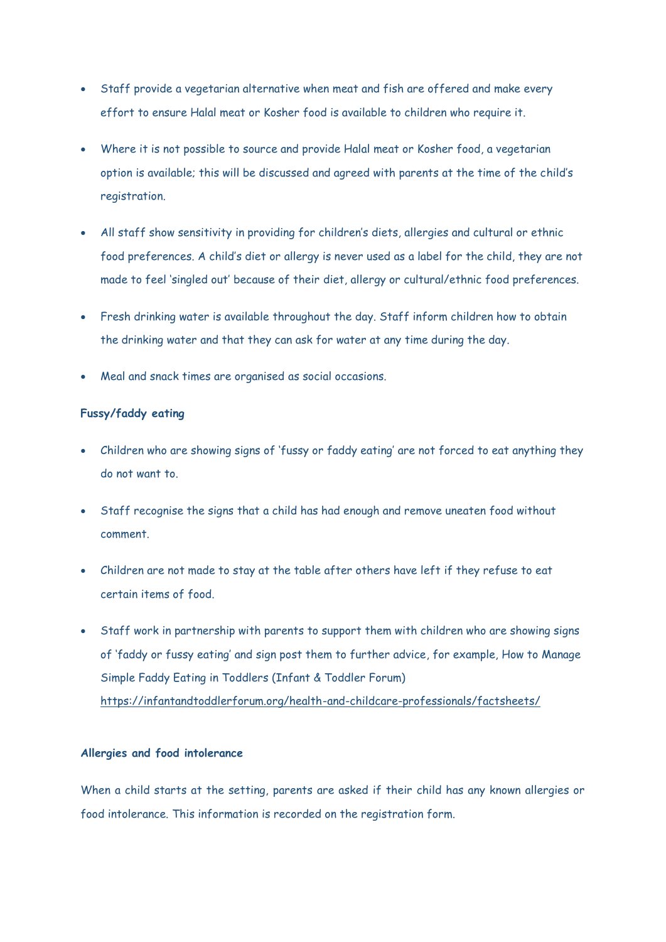- Staff provide a vegetarian alternative when meat and fish are offered and make every effort to ensure Halal meat or Kosher food is available to children who require it.
- Where it is not possible to source and provide Halal meat or Kosher food, a vegetarian option is available; this will be discussed and agreed with parents at the time of the child's registration.
- All staff show sensitivity in providing for children's diets, allergies and cultural or ethnic food preferences. A child's diet or allergy is never used as a label for the child, they are not made to feel 'singled out' because of their diet, allergy or cultural/ethnic food preferences.
- Fresh drinking water is available throughout the day. Staff inform children how to obtain the drinking water and that they can ask for water at any time during the day.
- Meal and snack times are organised as social occasions.

## **Fussy/faddy eating**

- Children who are showing signs of 'fussy or faddy eating' are not forced to eat anything they do not want to.
- Staff recognise the signs that a child has had enough and remove uneaten food without comment.
- Children are not made to stay at the table after others have left if they refuse to eat certain items of food.
- Staff work in partnership with parents to support them with children who are showing signs of 'faddy or fussy eating' and sign post them to further advice, for example, How to Manage Simple Faddy Eating in Toddlers (Infant & Toddler Forum) <https://infantandtoddlerforum.org/health-and-childcare-professionals/factsheets/>

## **Allergies and food intolerance**

When a child starts at the setting, parents are asked if their child has any known allergies or food intolerance. This information is recorded on the registration form.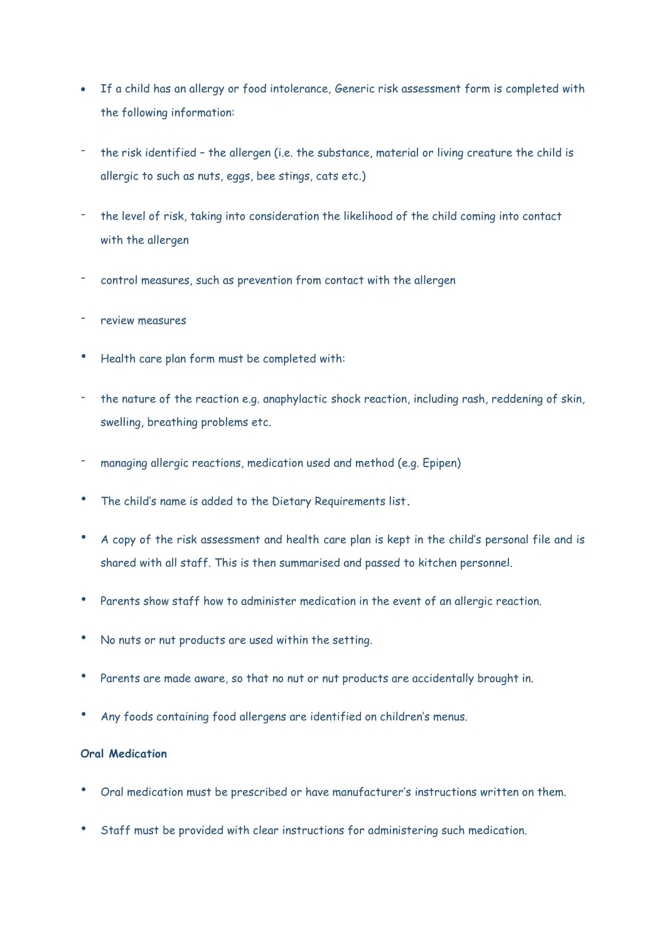- If a child has an allergy or food intolerance, Generic risk assessment form is completed with the following information:
- the risk identified the allergen (i.e. the substance, material or living creature the child is allergic to such as nuts, eggs, bee stings, cats etc.)
- the level of risk, taking into consideration the likelihood of the child coming into contact with the allergen
- control measures, such as prevention from contact with the allergen
- review measures
- Health care plan form must be completed with:
- the nature of the reaction e.g. anaphylactic shock reaction, including rash, reddening of skin, swelling, breathing problems etc.
- managing allergic reactions, medication used and method (e.g. Epipen)
- The child's name is added to the Dietary Requirements list**.**
- A copy of the risk assessment and health care plan is kept in the child's personal file and is shared with all staff. This is then summarised and passed to kitchen personnel.
- Parents show staff how to administer medication in the event of an allergic reaction.
- No nuts or nut products are used within the setting.
- Parents are made aware, so that no nut or nut products are accidentally brought in.
- Any foods containing food allergens are identified on children's menus.

## **Oral Medication**

- Oral medication must be prescribed or have manufacturer's instructions written on them.
- Staff must be provided with clear instructions for administering such medication.